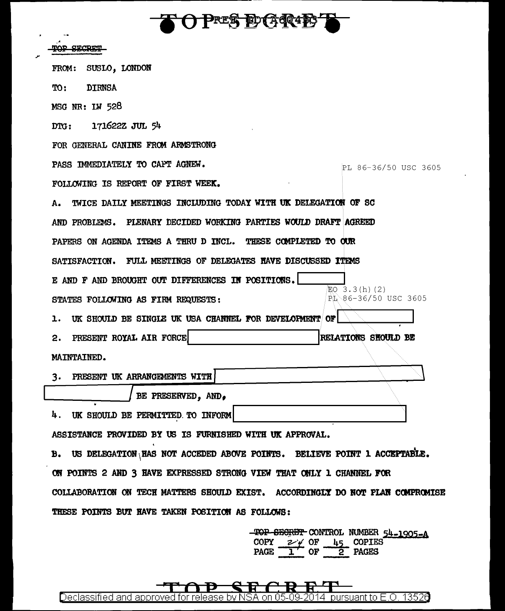**FOPRES DGQIET** 

مر

| SECRET                                                                         |                            |
|--------------------------------------------------------------------------------|----------------------------|
| SUSLO, LONDON<br>FROM:                                                         |                            |
| <b>DIRNSA</b><br>TO:                                                           |                            |
| MSG NR: LW 528                                                                 |                            |
| 171622Z JUL 54<br>DG:                                                          |                            |
| FOR GENERAL CANINE FROM ARMSTRONG                                              |                            |
| PASS IMMEDIATELY TO CAPT AGNEW.                                                | PL 86-36/50 USC 3605       |
| FOLLOWING IS REPORT OF FIRST WEEK.                                             |                            |
| TWICE DAILY MEETINGS INCLUDING TODAY WITH UK DELEGATION OF SC<br>А.            |                            |
| AND PROBLEMS. PLENARY DECIDED WORKING PARTIES WOULD DRAFT AGREED               |                            |
| PAPERS ON AGENDA ITEMS A THRU D INCL. THESE COMPLETED TO OUR                   |                            |
| FULL MEETINGS OF DELEGATES HAVE DISCUSSED ITEMS<br><b>SATISFACTION.</b>        |                            |
| E AND F AND BROUGHT OUT DIFFERENCES IN POSITIONS.                              | EO 3.3(h)(2)               |
| STATES FOLLOWING AS FIRM REQUESTS:                                             | PL 86-36/50 USC 3605       |
| UK SHOULD BE SINGLE UK USA CHANNEL FOR DEVELOPMENT OF<br>ı.                    |                            |
| PRESENT ROYAL AIR FORCE<br>2.                                                  | <b>RELATIONS SHOULD BE</b> |
| MAINTAINED.                                                                    |                            |
| PRESENT UK ARRANGEMENTS WITH<br>3.                                             |                            |
| BE PRESERVED, AND,                                                             |                            |
| 4. UK SHOULD BE PERMITTED TO INFORM                                            |                            |
| ASSISTANCE PROVIDED BY US IS FURNISHED WITH UK APPROVAL.                       |                            |
| B. US DELEGATION HAS NOT ACCEDED ABOVE POINTS. BELIEVE POINT 1 ACCEPTABLE.     |                            |
| ON POINTS 2 AND 3 HAVE EXPRESSED STRONG VIEW THAT ONLY 1 CHANNEL FOR           |                            |
| COLLABORATION ON TECH MATTERS SHOULD EXIST. ACCORDINGLY DO NOT PLAN COMPROMISE |                            |
| THESE POINTS BUT HAVE TAKEN POSITION AS FOLLOWS:                               |                            |
|                                                                                |                            |

TOP SEGRET CONTROL NUMBER  $54-1905-A$ <br>COPY  $2 \neq 0F$   $45$  COPIES<br>PAGE  $1$  OF 2 PAGES

q  $\, {\bf R} \,$ R L r तिः Đ Declassified and approved for release by NSA on 05-09-2014 pursuant to E.O. 13526

 $\mathbf{\sim}$